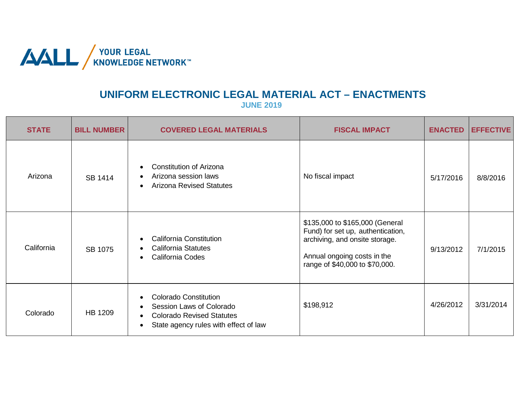

## **UNIFORM ELECTRONIC LEGAL MATERIAL ACT – ENACTMENTS**

**JUNE 2019**

| <b>STATE</b> | <b>BILL NUMBER</b> | <b>COVERED LEGAL MATERIALS</b>                                                                                                        | <b>FISCAL IMPACT</b>                                                                                                                                                    | <b>ENACTED</b> | <b>EFFECTIVE</b> |
|--------------|--------------------|---------------------------------------------------------------------------------------------------------------------------------------|-------------------------------------------------------------------------------------------------------------------------------------------------------------------------|----------------|------------------|
| Arizona      | SB 1414            | <b>Constitution of Arizona</b><br>Arizona session laws<br><b>Arizona Revised Statutes</b>                                             | No fiscal impact                                                                                                                                                        | 5/17/2016      | 8/8/2016         |
| California   | SB 1075            | <b>California Constitution</b><br><b>California Statutes</b><br>California Codes                                                      | \$135,000 to \$165,000 (General<br>Fund) for set up, authentication,<br>archiving, and onsite storage.<br>Annual ongoing costs in the<br>range of \$40,000 to \$70,000. | 9/13/2012      | 7/1/2015         |
| Colorado     | HB 1209            | <b>Colorado Constitution</b><br>Session Laws of Colorado<br><b>Colorado Revised Statutes</b><br>State agency rules with effect of law | \$198,912                                                                                                                                                               | 4/26/2012      | 3/31/2014        |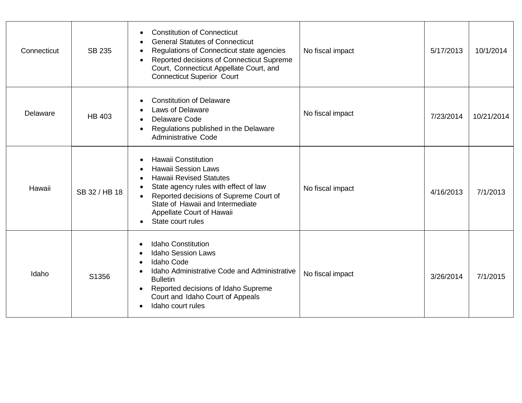| Connecticut | SB 235        | <b>Constitution of Connecticut</b><br><b>General Statutes of Connecticut</b><br>Regulations of Connecticut state agencies<br>Reported decisions of Connecticut Supreme<br>Court, Connecticut Appellate Court, and<br><b>Connecticut Superior Court</b>              | No fiscal impact | 5/17/2013 | 10/1/2014  |
|-------------|---------------|---------------------------------------------------------------------------------------------------------------------------------------------------------------------------------------------------------------------------------------------------------------------|------------------|-----------|------------|
| Delaware    | <b>HB 403</b> | <b>Constitution of Delaware</b><br>Laws of Delaware<br><b>Delaware Code</b><br>Regulations published in the Delaware<br><b>Administrative Code</b>                                                                                                                  | No fiscal impact | 7/23/2014 | 10/21/2014 |
| Hawaii      | SB 32 / HB 18 | <b>Hawaii Constitution</b><br><b>Hawaii Session Laws</b><br><b>Hawaii Revised Statutes</b><br>State agency rules with effect of law<br>Reported decisions of Supreme Court of<br>State of Hawaii and Intermediate<br>Appellate Court of Hawaii<br>State court rules | No fiscal impact | 4/16/2013 | 7/1/2013   |
| Idaho       | S1356         | <b>Idaho Constitution</b><br><b>Idaho Session Laws</b><br><b>Idaho Code</b><br>Idaho Administrative Code and Administrative<br><b>Bulletin</b><br>Reported decisions of Idaho Supreme<br>Court and Idaho Court of Appeals<br>Idaho court rules                      | No fiscal impact | 3/26/2014 | 7/1/2015   |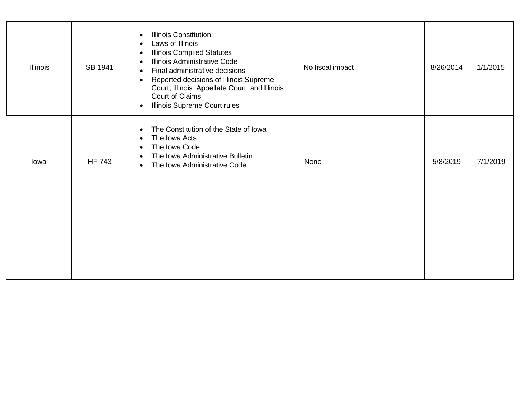| <b>Illinois</b> | SB 1941       | <b>Illinois Constitution</b><br>$\bullet$<br>Laws of Illinois<br>$\bullet$<br><b>Illinois Compiled Statutes</b><br>$\bullet$<br>Illinois Administrative Code<br>$\bullet$<br>Final administrative decisions<br>$\bullet$<br>Reported decisions of Illinois Supreme<br>$\bullet$<br>Court, Illinois Appellate Court, and Illinois<br>Court of Claims<br>Illinois Supreme Court rules<br>$\bullet$ | No fiscal impact | 8/26/2014 | 1/1/2015 |
|-----------------|---------------|--------------------------------------------------------------------------------------------------------------------------------------------------------------------------------------------------------------------------------------------------------------------------------------------------------------------------------------------------------------------------------------------------|------------------|-----------|----------|
| lowa            | <b>HF 743</b> | The Constitution of the State of Iowa<br>$\bullet$<br>The Iowa Acts<br>$\bullet$<br>The Iowa Code<br>$\bullet$<br>The Iowa Administrative Bulletin<br>$\bullet$<br>The Iowa Administrative Code<br>$\bullet$                                                                                                                                                                                     | None             | 5/8/2019  | 7/1/2019 |
|                 |               |                                                                                                                                                                                                                                                                                                                                                                                                  |                  |           |          |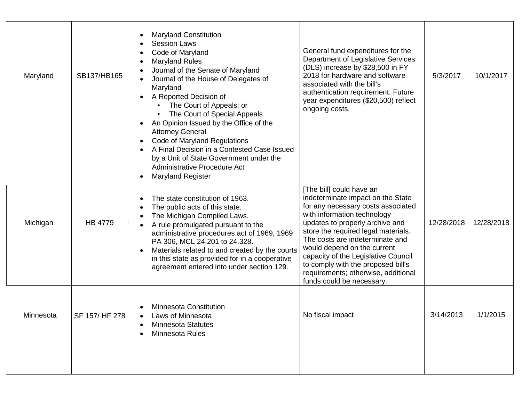| Maryland  | SB137/HB165    | <b>Maryland Constitution</b><br>$\bullet$<br><b>Session Laws</b><br>$\bullet$<br>Code of Maryland<br>$\bullet$<br><b>Maryland Rules</b><br>$\bullet$<br>Journal of the Senate of Maryland<br>Journal of the House of Delegates of<br>$\bullet$<br>Maryland<br>A Reported Decision of<br>The Court of Appeals; or<br>The Court of Special Appeals<br>An Opinion Issued by the Office of the<br>$\bullet$<br><b>Attorney General</b><br>Code of Maryland Regulations<br>$\bullet$<br>A Final Decision in a Contested Case Issued<br>$\bullet$<br>by a Unit of State Government under the<br>Administrative Procedure Act<br><b>Maryland Register</b><br>$\bullet$ | General fund expenditures for the<br>Department of Legislative Services<br>(DLS) increase by \$28,500 in FY<br>2018 for hardware and software<br>associated with the bill's<br>authentication requirement. Future<br>year expenditures (\$20,500) reflect<br>ongoing costs.                                                                                                                                                     | 5/3/2017   | 10/1/2017  |
|-----------|----------------|-----------------------------------------------------------------------------------------------------------------------------------------------------------------------------------------------------------------------------------------------------------------------------------------------------------------------------------------------------------------------------------------------------------------------------------------------------------------------------------------------------------------------------------------------------------------------------------------------------------------------------------------------------------------|---------------------------------------------------------------------------------------------------------------------------------------------------------------------------------------------------------------------------------------------------------------------------------------------------------------------------------------------------------------------------------------------------------------------------------|------------|------------|
| Michigan  | <b>HB 4779</b> | The state constitution of 1963.<br>$\bullet$<br>The public acts of this state.<br>The Michigan Compiled Laws.<br>$\bullet$<br>A rule promulgated pursuant to the<br>administrative procedures act of 1969, 1969<br>PA 306, MCL 24.201 to 24.328.<br>Materials related to and created by the courts<br>$\bullet$<br>in this state as provided for in a cooperative<br>agreement entered into under section 129.                                                                                                                                                                                                                                                  | [The bill] could have an<br>indeterminate impact on the State<br>for any necessary costs associated<br>with information technology<br>updates to properly archive and<br>store the required legal materials.<br>The costs are indeterminate and<br>would depend on the current<br>capacity of the Legislative Council<br>to comply with the proposed bill's<br>requirements; otherwise, additional<br>funds could be necessary. | 12/28/2018 | 12/28/2018 |
| Minnesota | SF 157/HF 278  | <b>Minnesota Constitution</b><br>aws of Minnesota<br><b>Minnesota Statutes</b><br>Minnesota Rules                                                                                                                                                                                                                                                                                                                                                                                                                                                                                                                                                               | No fiscal impact                                                                                                                                                                                                                                                                                                                                                                                                                | 3/14/2013  | 1/1/2015   |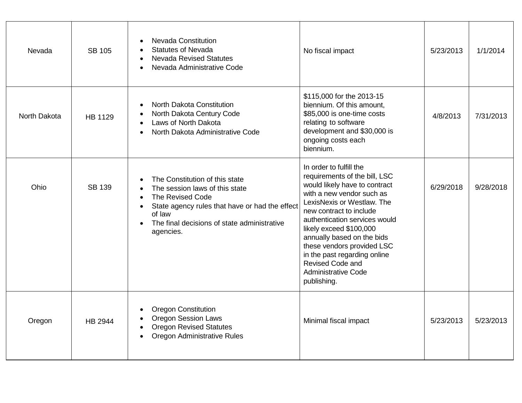| Nevada       | <b>SB 105</b> | <b>Nevada Constitution</b><br><b>Statutes of Nevada</b><br><b>Nevada Revised Statutes</b><br>Nevada Administrative Code                                                                                      | No fiscal impact                                                                                                                                                                                                                                                                                                                                                                                         | 5/23/2013 | 1/1/2014  |
|--------------|---------------|--------------------------------------------------------------------------------------------------------------------------------------------------------------------------------------------------------------|----------------------------------------------------------------------------------------------------------------------------------------------------------------------------------------------------------------------------------------------------------------------------------------------------------------------------------------------------------------------------------------------------------|-----------|-----------|
| North Dakota | HB 1129       | North Dakota Constitution<br>North Dakota Century Code<br>Laws of North Dakota<br>North Dakota Administrative Code                                                                                           | \$115,000 for the 2013-15<br>biennium. Of this amount,<br>\$85,000 is one-time costs<br>relating to software<br>development and \$30,000 is<br>ongoing costs each<br>biennium.                                                                                                                                                                                                                           | 4/8/2013  | 7/31/2013 |
| Ohio         | <b>SB 139</b> | The Constitution of this state<br>The session laws of this state<br>The Revised Code<br>State agency rules that have or had the effect<br>of law<br>The final decisions of state administrative<br>agencies. | In order to fulfill the<br>requirements of the bill, LSC<br>would likely have to contract<br>with a new vendor such as<br>LexisNexis or Westlaw. The<br>new contract to include<br>authentication services would<br>likely exceed \$100,000<br>annually based on the bids<br>these vendors provided LSC<br>in the past regarding online<br>Revised Code and<br><b>Administrative Code</b><br>publishing. | 6/29/2018 | 9/28/2018 |
| Oregon       | HB 2944       | <b>Oregon Constitution</b><br><b>Oregon Session Laws</b><br><b>Oregon Revised Statutes</b><br>Oregon Administrative Rules                                                                                    | Minimal fiscal impact                                                                                                                                                                                                                                                                                                                                                                                    | 5/23/2013 | 5/23/2013 |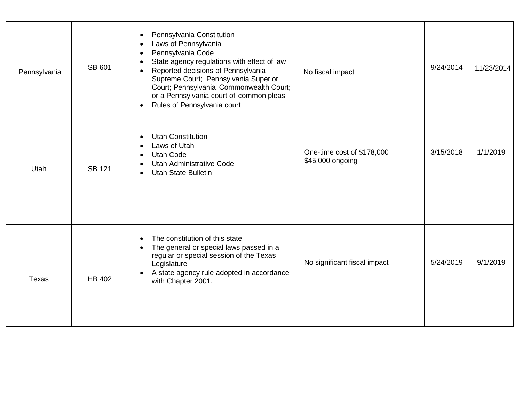| Pennsylvania | SB 601        | Pennsylvania Constitution<br>$\bullet$<br>Laws of Pennsylvania<br>$\bullet$<br>Pennsylvania Code<br>$\bullet$<br>State agency regulations with effect of law<br>$\bullet$<br>Reported decisions of Pennsylvania<br>Supreme Court; Pennsylvania Superior<br>Court; Pennsylvania Commonwealth Court;<br>or a Pennsylvania court of common pleas<br>Rules of Pennsylvania court<br>$\bullet$ | No fiscal impact                               | 9/24/2014 | 11/23/2014 |
|--------------|---------------|-------------------------------------------------------------------------------------------------------------------------------------------------------------------------------------------------------------------------------------------------------------------------------------------------------------------------------------------------------------------------------------------|------------------------------------------------|-----------|------------|
| <b>Utah</b>  | <b>SB 121</b> | <b>Utah Constitution</b><br>$\bullet$<br>Laws of Utah<br>$\bullet$<br><b>Utah Code</b><br>$\bullet$<br><b>Utah Administrative Code</b><br>$\bullet$<br><b>Utah State Bulletin</b>                                                                                                                                                                                                         | One-time cost of \$178,000<br>\$45,000 ongoing | 3/15/2018 | 1/1/2019   |
| <b>Texas</b> | HB 402        | The constitution of this state<br>$\bullet$<br>The general or special laws passed in a<br>$\bullet$<br>regular or special session of the Texas<br>Legislature<br>A state agency rule adopted in accordance<br>$\bullet$<br>with Chapter 2001.                                                                                                                                             | No significant fiscal impact                   | 5/24/2019 | 9/1/2019   |